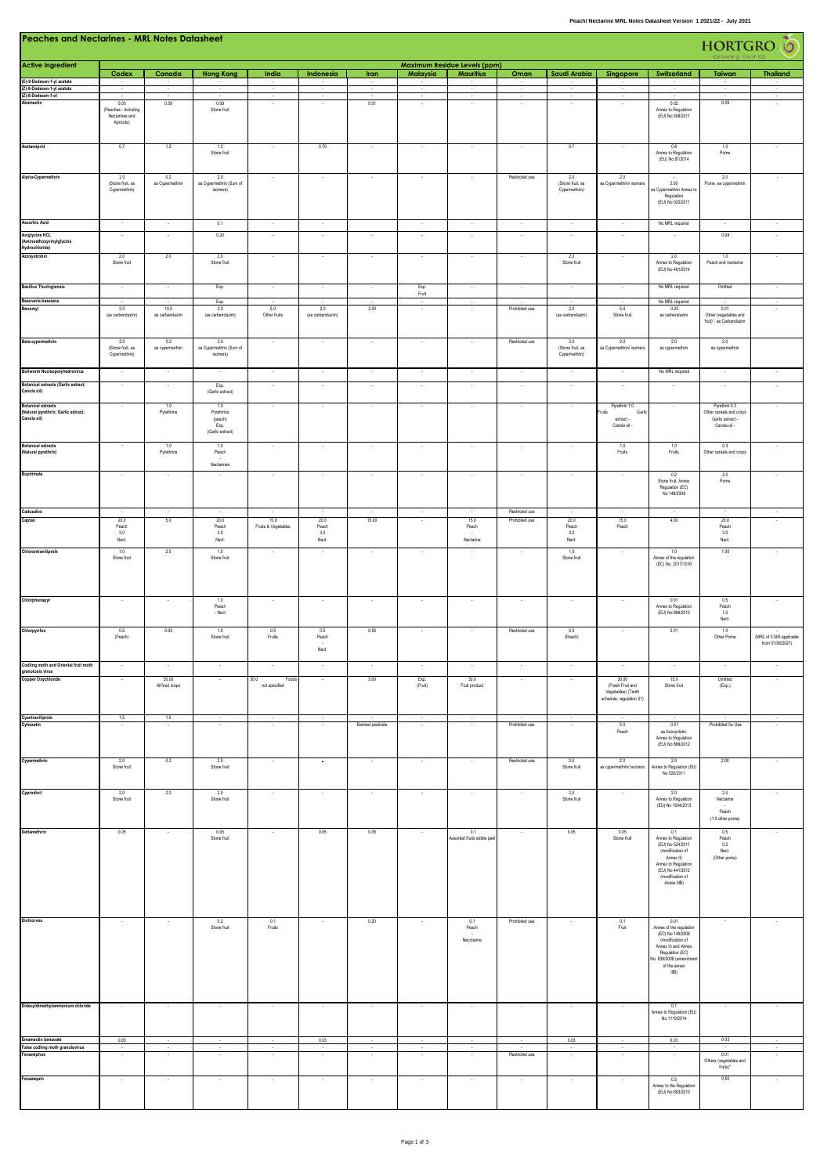|                                                                                      | <b>Peaches and Nectarines - MRL Notes Datasheet</b>         |                           |                                               |                                |                                             |                  |                          |                                                         |                                  |                                                             | HORTGRO O                                                                   |                                                                                                                                                                      |                                                                              |                                              |
|--------------------------------------------------------------------------------------|-------------------------------------------------------------|---------------------------|-----------------------------------------------|--------------------------------|---------------------------------------------|------------------|--------------------------|---------------------------------------------------------|----------------------------------|-------------------------------------------------------------|-----------------------------------------------------------------------------|----------------------------------------------------------------------------------------------------------------------------------------------------------------------|------------------------------------------------------------------------------|----------------------------------------------|
| <b>Active Ingredient</b>                                                             | Codex                                                       | Canada                    | <b>Hong Kong</b>                              | India                          | Indonesia                                   | Iran             | Malaysia                 | <b>Maximum Residue Levels (ppm)</b><br><b>Mauritius</b> | Oman                             | Saudi Arabia                                                | Singapore                                                                   | Switzerland                                                                                                                                                          | Taiwan                                                                       | <b>Thailand</b>                              |
| (E)-8-Dodecen-1-yl acetate<br>(Z)-8-Dodecen-1-yl acetate                             |                                                             |                           |                                               | $\sim$                         |                                             | $\cdot$          |                          | $\cdot$                                                 | $\sim$                           |                                                             | $\cdot$                                                                     |                                                                                                                                                                      | $\cdot$                                                                      |                                              |
| (Z)-8-Dodecen-1-ol<br>Abamectin                                                      | 0.03<br>(Peaches - Including<br>Nectarines and<br>Apricots) | 0.09                      | 0.09<br>Stone fruit                           | ×                              | ÷.                                          | 0.01             |                          |                                                         | $\sim$                           | $\sim$                                                      | ÷,<br>$\lambda$                                                             | $\epsilon$<br>0.02<br>Annex to Regulation<br>(EU) No 508/2011                                                                                                        | τ<br>0.06                                                                    | $\sim$<br>$\sim$                             |
| Acetamiprid                                                                          | 0.7                                                         | 1.2                       | 1.2<br>Stone fruit                            | $\sim$                         | 0.70                                        | $\sim$           | $\cdot$                  | $\sim$                                                  | $\sim$                           | 0.7                                                         | $\cdot$                                                                     | 0.8<br>Annex to Regulation<br>(EU) No 87/2014                                                                                                                        | 1.0<br>Pome                                                                  |                                              |
| Alpha-Cypermethrin                                                                   | 2.0<br>(Stone fruit, as<br>Cypermethrin)                    | 0.2<br>as Cypermethrin    | 2.0<br>as Cypermethrin (Sum of<br>isomers)    |                                |                                             |                  |                          |                                                         | Restricted use                   | 2.0<br>(Stone fruit, as<br>Cypermethrin)                    | 2.0<br>as Cypermethrin/ isomers                                             | 2.00<br>as Cypermethrin Annex to<br>Regulation<br>(EU) No 520/2011                                                                                                   | 2.0<br>Pome, as cypermethrin                                                 |                                              |
| <b>Ascorbic Acid</b><br>Aviglycine HCL<br>(Aminoethoxyvinylglycine<br>Hydrochloride) | $\sim$                                                      | $\bar{z}$                 | 0.1<br>0.20                                   | $\sim$                         | $\sim$                                      | $\cdot$          | $\sim$                   | $\sim$                                                  | $\sim$                           | $\cdot$<br>$\sim$                                           | $\cdot$<br>$\sim$                                                           | No MRL required                                                                                                                                                      | 0.08                                                                         | $\bullet$<br>$\alpha$                        |
| Azoxystrobin                                                                         | 2.0<br>Stone fruit                                          | 2.0                       | 2.0<br>Stone fruit                            |                                | $\sim$                                      | ×                |                          |                                                         |                                  | 2.0<br>Stone fruit                                          | $\cdot$                                                                     | 2.0<br>Annex to Regulation<br>(EU) No 491/2014                                                                                                                       | 1.0<br>Peach and nectarine                                                   |                                              |
| <b>Bacillus Thuringiensis</b>                                                        | $\sim$                                                      | $\sim$                    | Exp.                                          | $\sim$                         | $\sim$                                      | $\sim$           | Exp.<br>Fruit            | $\sim$                                                  | $\sim$                           | $\sim$                                                      | $\sim$                                                                      | No MRL required                                                                                                                                                      | Omitted                                                                      | $\sim$                                       |
| Beauveria bassiana<br>Benomyl                                                        | 2.0                                                         | 10.0                      | Exp.<br>2.0                                   | 5.0                            | 2.0                                         | 2.00             | $\sim$                   |                                                         | Prohibited use                   | 2.0                                                         | 5.0                                                                         | No MRL required<br>0.20                                                                                                                                              | 0.01                                                                         | $\overline{\phantom{a}}$<br>÷.               |
| Beta-cypermethrin                                                                    | (as carbendazim)<br>2.0                                     | as carbendazim<br>0.2     | (as carbendazim)<br>2.0                       | Other fruits<br>$\sim$         | (as carbendazim)<br>$\sim$                  | $\cdot$          | $\sim$                   | $\sim$                                                  | Restricted use                   | (as carbendazim)<br>2.0                                     | Stone fruit<br>2.0                                                          | as carbendazim<br>2.0                                                                                                                                                | Other (vegetables and<br>fruit)*, as Carbendazim<br>2.0                      |                                              |
| <b>Bollworm Nucleopolyhedrovirus</b>                                                 | (Stone fruit, as<br>Cypermethrin)<br>$\cdot$                | as cypermethrin<br>$\sim$ | as Cypermethrin (Sum of<br>isomers)<br>$\sim$ | $\sim$                         | $\sim$                                      | $\sim$           | $\sim$                   | $\sim$                                                  | $\sim$                           | (Stone fruit, as<br>Cypermethrin)<br>$\sim$                 | as Cypermethrin/ isomers<br>$\sim$                                          | as cypermethrin<br>No MRL required                                                                                                                                   | as cypermethrin<br>$\sim$                                                    | $\sim$                                       |
| <b>Botanical extracts (Garlic extract;</b><br>Canola oil)                            | $\sim$                                                      | $\sim$                    | Exp.<br>(Garlic extract)                      | $\sim$                         | $\sim$                                      | $\sim$           | $\sim$                   | $\sim$                                                  | $\sim$                           | $\cdot$                                                     | $\sim$                                                                      | $\sim$                                                                                                                                                               | $\sim$                                                                       | $\sim$                                       |
| <b>Botanical extracts</b><br>(Natural pyrethrin; Garlic extract;<br>Canola oil)      |                                                             | 1.0<br>Pyrethrins         | 1.0<br>Pyrethrins<br>(peach)<br>Exp.          | $\sim$                         | $\sim$                                      | $\cdot$          | $\sim$                   | $\sim$                                                  | $\sim$                           | $\cdot$                                                     | Pyrethrin 1.0<br>Fruits<br>Garlic<br>extract -<br>Canola oil -              | $\cdot$                                                                                                                                                              | Pyrethrin 0.3<br>Other cereals and crops<br>Garlic extract -<br>Canola oil - | $\sim$                                       |
| <b>Botanical extracts</b><br>(Natural pyrethrin)                                     |                                                             | 1.0<br>Pyrethrins         | (Garlic extract)<br>1.0<br>Peach              | $\sim$                         | $\overline{\phantom{a}}$                    | $\cdot$          | $\overline{\phantom{a}}$ | $\cdot$                                                 | $\sim$                           | $\overline{\phantom{a}}$                                    | 1.0<br>Fruits                                                               | 1.0<br>Fruits                                                                                                                                                        | 0.3<br>Other cereals and crops                                               | $\cdot$                                      |
| Bupirimate                                                                           |                                                             |                           | Nectarines                                    |                                |                                             |                  |                          |                                                         |                                  |                                                             |                                                                             | 0.2<br>Stone fruit, Annex<br>Regulation (EC)<br>No 149/2008                                                                                                          | 2.0<br>Pome                                                                  |                                              |
| Cadusafos<br>Captan                                                                  | $20.0\,$<br>Peach<br>3.0<br>Nect.                           | $\sim$<br>5.0             | - 1<br>20.0<br>Peach<br>3.0<br>Nect.          | 15.0<br>Fruits & Vegetables    | $\sim$<br>$20.0\,$<br>Peach<br>3.0<br>Nect. | $\sim$<br>15.00  | $\sim$                   | $\sim$<br>15.0<br>Peach<br>Nectarine                    | Restricted use<br>Prohibited use | $\sim$<br>20.0<br>Peach<br>3.0<br>$\mathsf{N}\mathsf{ect}.$ | ÷.<br>15.0<br>Peach                                                         | $\sim$<br>$4.00\,$                                                                                                                                                   | $\sim$<br>20.0<br>Peach<br>3.0<br>${\sf Nect}$                               | $\sim$                                       |
| Chlorantraniliprole                                                                  | 1.0<br>Stone fruit                                          | 2.5                       | 1.0<br>Stone fruit                            |                                |                                             |                  |                          |                                                         |                                  | 1.0<br>Stone fruit                                          |                                                                             | 1.0<br>Annex of the regulation<br>(EC) No. 2017/1016                                                                                                                 | 1.00                                                                         |                                              |
| Chlorphenapyr                                                                        | $\cdot$                                                     | $\cdot$                   | $1.0\,$<br>Peach<br>$-$ Nect                  | $\overline{\phantom{a}}$       |                                             | $\cdot$          |                          | $\cdot$                                                 |                                  |                                                             |                                                                             | 0.01<br>Annex to Regulation<br>(EU) No 899/2012                                                                                                                      | 0.5<br>Peach<br>$1.0\,$<br>${\sf Nect}$                                      | $\cdot$                                      |
| Chlorpyrifos                                                                         | 0.5<br>(Peach)                                              | 0.05                      | 1.0<br>Stone fruit                            | 0.5<br>Fruits                  | 0.5<br>Peach<br>Nect.                       | 0.50             |                          |                                                         | Restricted use                   | 0.5<br>(Peach)                                              |                                                                             | 0.01                                                                                                                                                                 | 1.0<br>Other Pome                                                            | (MRL of 0.005 applicable<br>from 01/06/2021) |
| Codling moth and Oriental fruit moth<br>granolosis virus                             |                                                             |                           |                                               |                                |                                             |                  |                          |                                                         |                                  |                                                             |                                                                             |                                                                                                                                                                      |                                                                              |                                              |
| Copper Oxychloride                                                                   |                                                             | 50.00<br>All food crops   |                                               | 30.0<br>Foods<br>not specified |                                             | 5.00             | Exp.<br>(Fruit)          | 30.0<br>Fruit product                                   |                                  |                                                             | 30.00<br>(Fresh Fruit and<br>Vegetables) (Tenth<br>schedule, regulation 31) | 15.0<br>Stone fruit                                                                                                                                                  | Omitted<br>(Exp.)                                                            |                                              |
| Cyantraniliprole<br>Cyhexatin                                                        | 1.5                                                         | 1.5                       |                                               | $\sim$                         |                                             | Banned pesticide | $\sim$                   |                                                         | Prohibited use                   | $\cdot$                                                     | $5.0\,$<br>Peach                                                            | 0.01<br>as Azocyclotin,<br>Annex to Regulation<br>(EU) No 899/2012                                                                                                   | Prohibited for Use                                                           | $\sim$                                       |
| Cypermethrin                                                                         | 2.0<br>Stone fruit                                          | 0.2                       | 2.0<br>Stone fruit                            |                                | $\sim$                                      | $\cdot$          | $\sim$                   |                                                         | Restricted use                   | 2.0<br>Stone fruit                                          | 2.0<br>as cypermethrin/ isomers                                             | 2.0<br>Annex to Regulation (EU)<br>No 520/2011                                                                                                                       | 2.00                                                                         |                                              |
| Cyprodinil                                                                           | 2.0<br>Stone fruit                                          | 2.0                       | 2.0<br>Stone fruit                            |                                |                                             | $\cdot$          |                          |                                                         |                                  | 2.0<br>Stone fruit                                          |                                                                             | 2.0<br>Annex to Regulation<br>(EU) No 1004/2013                                                                                                                      | 2.0<br>Nectarine<br>Peach<br>(1.0 other pome)                                |                                              |
| Deltamethrin                                                                         | 0.05                                                        |                           | 0.05<br>Stone fruit                           |                                | 0.05                                        | 0.05             |                          | 0.1<br>Assorted fruits edible pee                       |                                  | 0.05                                                        | 0.05<br>Stone fruit                                                         | 0.1<br>Annex to Regulation<br>(EU) No 524/2011<br>(modification of<br>Annex II)<br>Annex to Regulation<br>(EU) No 441/2012<br>(modification of<br>Annex IIIB)        | 0.5<br>Peach<br>0.2<br>Nect.<br>(Other pome)                                 |                                              |
| Dichlorvos                                                                           | $\overline{\phantom{a}}$                                    |                           | 0.2<br>Stone fruit                            | 0.1<br>Fruits                  |                                             | 0.20             |                          | 0.1<br>Peach<br>Necctarine                              | Prohibited use                   |                                                             | 0.1<br>Fruit                                                                | 0.01<br>Annex of the regulation<br>(EC) No 149/2008<br>(modification of<br>Annex II) and Annex<br>Regulation (EC)<br>No. 839/2008 (amendmer<br>of the annex<br>IIIB) | $\sim$                                                                       |                                              |
| Didecyldimethylammonium chloride<br>Emamectin benzoate                               | 0.03                                                        |                           |                                               |                                | 0.03                                        | $\cdot$          |                          |                                                         |                                  | 0.03                                                        | $\cdot$                                                                     | 0.1<br>Annex to Regulation (EU)<br>No 1119/2014<br>0.03                                                                                                              | 0.03                                                                         |                                              |
| False codling moth granulovirus<br>Fenamiphos                                        |                                                             |                           |                                               |                                |                                             | $\cdot$          |                          |                                                         | Restricted use                   |                                                             | $\cdot$                                                                     | $\cdot$                                                                                                                                                              | 0.01                                                                         | ¥                                            |
| Fenazaquin                                                                           |                                                             | $\sim$                    |                                               |                                | ÷.                                          | $\sim$           | $\sim$                   |                                                         |                                  |                                                             | $\cdot$                                                                     | 0.5<br>Annex to the Regulation<br>(EU) No 893/2010                                                                                                                   | Others (vegetables and<br>fruits)*<br>0.50                                   | $\bullet$                                    |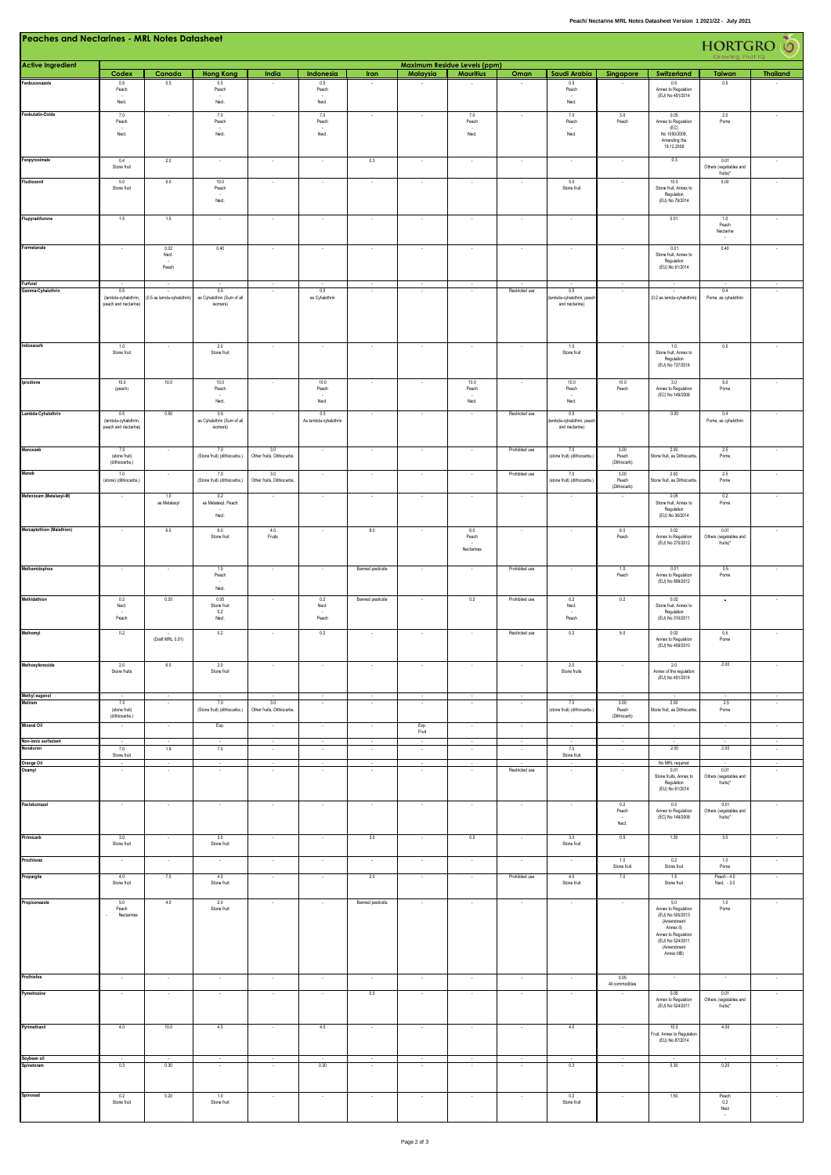| <b>Peaches and Nectarines - MRL Notes Datasheet</b> |                                                     |                           |                                                |                                   |                                        |                          |                                |                                     |                          |                                                               |                                     | HORTGRO <sup>T</sup> O                                                                                                                            |                                                           |                          |
|-----------------------------------------------------|-----------------------------------------------------|---------------------------|------------------------------------------------|-----------------------------------|----------------------------------------|--------------------------|--------------------------------|-------------------------------------|--------------------------|---------------------------------------------------------------|-------------------------------------|---------------------------------------------------------------------------------------------------------------------------------------------------|-----------------------------------------------------------|--------------------------|
| <b>Active Ingredient</b>                            |                                                     |                           |                                                |                                   |                                        |                          |                                | <b>Maximum Residue Levels (ppm)</b> |                          |                                                               |                                     |                                                                                                                                                   |                                                           |                          |
| Fenbuconazole                                       | Codex<br>$0.5\,$<br>Peach<br>Nect.                  | Canada<br>0.5             | <b>Hong Kong</b><br>$0.5\,$<br>Peach<br>Nect.  | India                             | Indonesia<br>$0.5\,$<br>Peach<br>Nect. | Iran                     | Malaysia                       | <b>Mauritius</b>                    | Oman                     | Saudi Arabia<br>$0.5\,$<br>Peach<br>$\mathsf{N}\mathsf{ect}.$ | Singapore                           | Switzerland<br>$0.5\,$<br>Annex to Regulation<br>(EU) No 491/2014                                                                                 | Taiwan<br>0.5                                             | <b>Thailand</b>          |
| Fenbutatin-Oxide                                    | 7.0                                                 | ٠                         | 7.0                                            | ٠                                 | 7.0                                    |                          | $\cdot$                        | 7.0                                 |                          | 7.0                                                           | 3.0                                 | 0.05                                                                                                                                              | 2.0                                                       |                          |
|                                                     | Peach<br>Nect.                                      |                           | Peach<br>Nect.                                 |                                   | Peach<br>Nect.                         |                          |                                | Peach<br>Nect.                      |                          | Peach<br>Nect.                                                | Peach                               | Annex to Regulation<br>(EC)<br>No 1050/2009,<br>Amending the<br>19.12.2009                                                                        | Pome                                                      |                          |
| Fenpyroximate                                       | 0.4<br>Stone fruit                                  | 2.0                       |                                                |                                   |                                        | $0.3\,$                  |                                |                                     |                          |                                                               |                                     | 0.3                                                                                                                                               | 0.01<br>Others (vegetables and                            |                          |
| Fludioxonil                                         | 5.0<br>Stone fruit                                  | 5.0                       | 10.0<br>Peach<br>Nect.                         | $\overline{\phantom{a}}$          | $\overline{\phantom{a}}$               | $\cdot$                  | $\cdot$                        | $\cdot$                             |                          | 5.0<br>Stone fruit                                            | $\cdot$                             | 10.0<br>Stone fruit, Annex to<br>Regulation<br>(EU) No 79/2014                                                                                    | fruits)*<br>5.00                                          | $\cdot$                  |
| Flupyradifurone                                     | 1.5                                                 | 1.5                       |                                                |                                   |                                        | $\overline{\phantom{a}}$ | ÷.                             | ×                                   |                          |                                                               |                                     | 0.01                                                                                                                                              | 1.0<br>Peach<br>Nectarine                                 |                          |
| Formetanate                                         |                                                     | 0.02<br>Nect.<br>Peach    | 0.40                                           |                                   |                                        |                          | ł,                             |                                     |                          |                                                               |                                     | 0.01<br>Stone fruit, Annex to<br>Regulation<br>(EU) No 61/2014                                                                                    | $0.40\,$                                                  |                          |
| Furfural<br>Gamma-Cyhalothrin                       | 0.5                                                 | $\sim$                    | 0.5                                            | $\sim$                            | 0.5                                    | $\sim$                   | $\cdot$                        | $\sim$                              | Restricted use           | 0.5                                                           | $\,$ .                              |                                                                                                                                                   | 0.4                                                       | $\overline{\phantom{a}}$ |
|                                                     | (lambda-cyhalothrin,<br>peach and nectarine)        | (0.5 as lamda-cyhalothrin | as Cyhalothrin (Sum of all<br>isomers)         |                                   | as Cyhalothrin                         |                          |                                |                                     |                          | ambda-cyhalothrin, peac<br>and nectarine)                     |                                     | (0.2 as lamda-cyhalothrin)                                                                                                                        | Pome, as cyhalothrin                                      |                          |
| Indoxacarb                                          | 1.0                                                 |                           | 2.0                                            | ×                                 | ×                                      | $\sim$                   | $\cdot$                        | $\sim$                              |                          | 1.0                                                           | $\cdot$                             | 1.0                                                                                                                                               | 0.5                                                       |                          |
|                                                     | Stone fruit                                         |                           | Stone fruit                                    |                                   |                                        |                          |                                |                                     |                          | Stone fruit                                                   |                                     | Stone fruit, Annex to<br>Regulation<br>(EU) No 737/2014                                                                                           |                                                           |                          |
| Iprodione                                           | 10.0<br>(peach)                                     | 10.0                      | 10.0<br>Peach<br>Nect.                         |                                   | 10.0<br>Peach<br>Nect.                 |                          |                                | 10.0<br>Peach<br>Nect.              |                          | 10.0<br>Peach<br>Nect.                                        | 10.0<br>Peach                       | 3.0<br>Annex to Regulation<br>(EC) No 149/2008                                                                                                    | 5.0<br>Pome                                               |                          |
| Lambda-Cyhalothrin                                  | 0.5<br>(lambda-cyhalothrin,<br>peach and nectarine) | 0.50                      | 0.5<br>as Cyhalothrin (Sum of all<br>isomers)  |                                   | 0.5<br>As lambda-cyhalothrin           |                          |                                |                                     | Restricted use           | 0.5<br>ambda-cyhalothrin, peach<br>and nectarine)             |                                     | 0.20                                                                                                                                              | 0.4<br>Pome, as cyhalothrin                               |                          |
| Mancozeb                                            | 7.0<br>(stone fruit)<br>(dithiocarbs.)              | $\sim$                    | 7.0<br>(Stone fruit) (dithiocarbs.)            | 3.0<br>Other fruits, Dithiocarbs  | $\bullet$                              | $\cdot$                  | $\cdot$                        | $\cdot$                             | Prohibited use           | 7.0<br>(stone fruit) (dithiocarbs.)                           | 3.00<br>Peach<br>(Dithiocarb)       | 2.00<br>Stone fruit, as Dithiocarbs                                                                                                               | 2.5<br>Pome                                               |                          |
| Maneb                                               | 7.0<br>(stone) (dithiocarbs.)                       | ×.                        | 7.0<br>(Stone fruit) (dithiocarbs.)            | 3.0<br>Other fruits, Dithiocarbs  |                                        |                          |                                |                                     | Prohibited use           | $7.0\,$<br>(stone fruit) (dithiocarbs.)                       | 3.00<br>Peach<br>(Difhiocarb)       | 2.00<br>Stone fruit, as Dithiocarbs                                                                                                               | 2.5<br>Pome                                               |                          |
| Mefenoxam (Metalaxyl-M)                             | $\sim$                                              | 1.0<br>as Metalaxy        | 0.2<br>as Metalaxyl, Peach<br>Nect.            |                                   | $\overline{\phantom{a}}$               | $\sim$                   | $\cdot$                        | $\cdot$                             | $\overline{\phantom{a}}$ |                                                               | $\overline{\phantom{a}}$            | 0.05<br>Stone fruit, Annex to<br>Regulation<br>(EU) No 36/2014                                                                                    | 0.2<br>Pome                                               |                          |
| <b>Mercaptothion (Malathion)</b>                    | $\sim$                                              | 6.0                       | 6.0<br>Stone fruit                             | 4.0<br>Fruits                     |                                        | 8.0                      | $\overline{\phantom{a}}$       | 6.0<br>Peach<br>Nectarines          |                          |                                                               | 6.0<br>Peach                        | 0.02<br>Annex to Regulation<br>(EU) No 270/2012                                                                                                   | 0.01<br>Others (vegetables and<br>fruits)*                |                          |
| Methamidophos                                       | $\sim$                                              |                           | 1.0                                            | $\overline{\phantom{a}}$          |                                        | Banned pesticide         | $\epsilon$                     | $\overline{\phantom{a}}$            | Prohibited use           |                                                               | 1.0                                 | 0.01                                                                                                                                              | 0.5                                                       |                          |
|                                                     |                                                     |                           | Peach<br>Nect.                                 |                                   |                                        |                          |                                |                                     |                          |                                                               | Peach                               | Annex to Regulation<br>(EU) No 899/2012                                                                                                           | Pome                                                      |                          |
| Methidathion                                        | 0.2<br>Nect.<br>Peach                               | 0.20                      | 0.05<br>Stone fruit<br>0.2<br>Nect.            | ×                                 | 0.2<br>Nect.<br>Peach                  | Banned pesticide         | $\sim$                         | 0.2                                 | Prohibited use           | 0.2<br>Nect.<br>Peach                                         | $0.2\,$                             | 0.02<br>Stone fruit, Annex to<br>Regulation<br>(EU) No 310/2011                                                                                   | $\cdot$                                                   |                          |
| Methomyl                                            | $0.2\,$                                             | (Draft MRL 0.01)          | 0.2                                            |                                   | $0.2\,$                                |                          |                                |                                     | Restricted use           | $0.2\,$                                                       | $5.0\,$                             | 0.02<br>Annex to Regulation<br>(EU) No 459/2010                                                                                                   | 0.5<br>Pome                                               |                          |
| Methoxyfenocide                                     | 2.0<br>Stone fruits                                 | 6.0                       | 2.0<br>Stone fruit                             |                                   |                                        |                          |                                |                                     |                          | 2.0<br>Stone fruits                                           |                                     | 2.0<br>Annex of the regulation<br>(EU) No 491/2014                                                                                                | 2.00                                                      |                          |
| Methyl eugenol<br>Metiram                           | $\sim$<br>7.0<br>(stone fruit)<br>(dithiocarbs.)    | $\sim$<br>$\sim$          | $\cdot$<br>7.0<br>(Stone fruit) (dithiocarbs.) | 3.0<br>Other fruits, Dithiocarbs. | $\sim$<br>÷,                           | $\cdot$<br>$\cdot$       | $\sim$<br>$\ddot{\phantom{a}}$ | $\sim$<br>$\ddot{\phantom{a}}$      | $\cdot$<br>$\lambda$     | 7.0<br>(stone fruit) (dithiocarbs.)                           | 3.00<br>Peach<br>(Diffilocarb)      | $\sim$<br>2.00<br>Stone fruit, as Dithiocarbs.                                                                                                    | $\sim$<br>2.5<br>Pome                                     | $\overline{\phantom{a}}$ |
| <b>Mineral Oil</b>                                  |                                                     |                           | Exp.                                           |                                   |                                        |                          | Exp.<br>Fruit                  | $\cdot$                             |                          |                                                               |                                     |                                                                                                                                                   |                                                           |                          |
| Non-ionic surfactant<br>Novaluron                   | $\sim$<br>7.0                                       | $\sim$<br>1.9             | $\sim$<br>7.0                                  | $\sim$<br>$\sim$                  | $\sim$<br>$\sim$                       | $\sim$<br>$\cdot$        | $\alpha$<br>$\sim$             | $\sim$<br>$\sim$                    | $\sim$<br>$\cdot$        | $\sim$<br>7.0                                                 | $\sim$<br>$\sim$                    | $\sim$<br>2.00                                                                                                                                    | ч.<br>2.00                                                | $\sim$<br>$\sim$         |
| Orange Oil                                          | Stone fruit<br>$\sim$                               | $\sim$                    | $\sim$                                         | $\sim$                            | $\cdot$                                | $\cdot$                  | $\overline{\phantom{a}}$       | $\sim$                              |                          | Stone fruit<br>$\cdot$                                        | $\sim$                              | No MRL required                                                                                                                                   |                                                           | $\cdot$                  |
| Oxamyl                                              | $\ddot{\phantom{a}}$                                | $\sim$                    | $\sim$                                         | ×                                 | ÷,                                     | $\cdot$                  | $\cdot$                        | $\ddot{\phantom{a}}$                | Restricted use           | $\cdot$                                                       | $\cdot$                             | 0.01<br>Stone fruits, Annex to<br>Regulation<br>(EU) No 61/2014                                                                                   | 0.01<br>Others (vegetables and<br>fruits)*                | $\cdot$                  |
| Paclobutrazol                                       | $\sim$                                              | $\sim$                    | $\lambda$                                      | $\sim$                            | $\sim$                                 | $\epsilon$               | $\sim$                         | $\sim$                              | $\cdot$                  | $\sim$                                                        | $0.2\,$<br>Peach<br>$\sim$<br>Nect. | 0.5<br>Annex to Regulation<br>(EC) No 149/2008                                                                                                    | 0.01<br>Others (vegetables and<br>fruits)*                | $\cdot$                  |
| Pirimicarb                                          | 3.0<br>Stone fruit                                  | $\sim$                    | 3.0<br>Stone fruit                             | $\sim$                            | $\sim$                                 | 3.0                      | $\sim$                         | 0.5                                 | $\sim$                   | 3.0<br>Stone fruit                                            | 0.5                                 | 1.30                                                                                                                                              | 3.0                                                       | ٠.                       |
| Prochloraz                                          | $\sim$                                              | $\sim$                    | $\sim$                                         | $\sim$                            | $\sim$                                 | $\sim$                   | $\sim$                         | $\sim$                              | $\sim$                   | $\sim$                                                        | 1.0<br>Stone fruit                  | 0.2<br>Stone fruit                                                                                                                                | 1.0<br>Pome                                               | $\epsilon$               |
| Propargite                                          | 4.0<br>Stone fruit                                  | 7.0                       | 4.0<br>Stone fruit                             | $\sim$                            | $\sim$                                 | 2.0                      | $\sim$                         | $\sim$                              | Prohibited use           | 4.0<br>Stone fruit                                            | 7.0                                 | 1.5<br>Stone fruit                                                                                                                                | Peach - 4.0<br>Nect. - 3.0                                | $\cdot$                  |
| Propiconazole                                       | 5.0<br>Peach<br>Nectarines<br>÷.                    | 4.0                       | 2.0<br>Stone fruit                             | $\sim$                            | $\sim$                                 | Banned pesticide         | $\lambda$                      | $\sim$                              | $\sim$                   | $\sim$                                                        | $\sim$                              | 5.0<br>Annex to Regulation<br>(EU) No 500/2013<br>(Amendment<br>Annex III<br>Annex to Regulation<br>(EU) No 524/2011<br>(Amendment<br>Annex IIIB) | 1.0<br>Pome                                               | $\sim$                   |
| Prothiofos                                          | $\sim$                                              | $\sim$                    | $\sim$                                         | $\sim$                            | $\sim$                                 | $\epsilon$               | $\epsilon$                     | $\sim$                              | $\sim$                   | $\cdot$                                                       | 0.05<br>All commodities             | $\cdot$                                                                                                                                           |                                                           | $\cdot$                  |
| Pymetrozine                                         | $\cdot$                                             |                           |                                                | ¥                                 | ×                                      | $0.5\,$                  | $\cdot$                        | $\cdot$                             |                          |                                                               |                                     | 0.05<br>Annex to Regulation<br>(EU) No 524/2011                                                                                                   | 0.01<br>Others (vegetables and<br>fruits)*                |                          |
| Pyrimethanil                                        | 4.0                                                 | 10.0                      | 4.0                                            | $\cdot$                           | 4.0                                    | $\cdot$                  | $\sim$                         | $\sim$                              | $\sim$                   | 4.0                                                           | $\cdot$                             | 10.0<br>Fruit, Annex to Regulation<br>(EU) No 87/2014                                                                                             | 4.00                                                      | $\cdot$                  |
| Soybean oil<br>Spinetoram                           | $\cdot$<br>0.3                                      | 0.30                      | $\sim$                                         | $\sim$                            | 0.30                                   | $\cdot$<br>$\sim$        | $\sim$<br>$\sim$               | $\sim$                              | $\sim$                   | 0.3                                                           | $\sim$                              | 0.30                                                                                                                                              | 0.20                                                      | $\cdot$                  |
| Spinosad                                            | 0.2<br>Stone fruit                                  | 0.20                      | 1.0<br>Stone fruit                             | $\sim$                            | $\sim$                                 | $\cdot$                  | $\sim$                         | $\epsilon$                          | $\sim$                   | 0.2<br>Stone fruit                                            | $\sim$                              | $1.50$                                                                                                                                            | $\begin{array}{c} \text{Peak} \\ 0.2 \end{array}$<br>Nect | $\sim$                   |